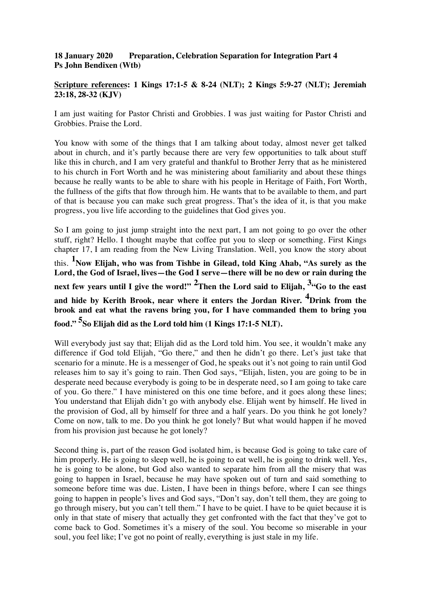## **18 January 2020 Preparation, Celebration Separation for Integration Part 4 Ps John Bendixen (Wtb)**

## **Scripture references: 1 Kings 17:1-5 & 8-24 (NLT); 2 Kings 5:9-27 (NLT); Jeremiah 23:18, 28-32 (KJV)**

I am just waiting for Pastor Christi and Grobbies. I was just waiting for Pastor Christi and Grobbies. Praise the Lord.

You know with some of the things that I am talking about today, almost never get talked about in church, and it's partly because there are very few opportunities to talk about stuff like this in church, and I am very grateful and thankful to Brother Jerry that as he ministered to his church in Fort Worth and he was ministering about familiarity and about these things because he really wants to be able to share with his people in Heritage of Faith, Fort Worth, the fullness of the gifts that flow through him. He wants that to be available to them, and part of that is because you can make such great progress. That's the idea of it, is that you make progress, you live life according to the guidelines that God gives you.

So I am going to just jump straight into the next part, I am not going to go over the other stuff, right? Hello. I thought maybe that coffee put you to sleep or something. First Kings chapter 17, I am reading from the New Living Translation. Well, you know the story about this. **<sup>1</sup> Now Elijah, who was from Tishbe in Gilead, told King Ahab, "As surely as the Lord, the God of Israel, lives—the God I serve—there will be no dew or rain during the next few years until I give the word!" 2Then the Lord said to Elijah, 3"Go to the east and hide by Kerith Brook, near where it enters the Jordan River. 4Drink from the brook and eat what the ravens bring you, for I have commanded them to bring you food." 5So Elijah did as the Lord told him (1 Kings 17:1-5 NLT).**

Will everybody just say that; Elijah did as the Lord told him. You see, it wouldn't make any difference if God told Elijah, "Go there," and then he didn't go there. Let's just take that scenario for a minute. He is a messenger of God, he speaks out it's not going to rain until God releases him to say it's going to rain. Then God says, "Elijah, listen, you are going to be in desperate need because everybody is going to be in desperate need, so I am going to take care of you. Go there." I have ministered on this one time before, and it goes along these lines; You understand that Elijah didn't go with anybody else. Elijah went by himself. He lived in the provision of God, all by himself for three and a half years. Do you think he got lonely? Come on now, talk to me. Do you think he got lonely? But what would happen if he moved from his provision just because he got lonely?

Second thing is, part of the reason God isolated him, is because God is going to take care of him properly. He is going to sleep well, he is going to eat well, he is going to drink well. Yes, he is going to be alone, but God also wanted to separate him from all the misery that was going to happen in Israel, because he may have spoken out of turn and said something to someone before time was due. Listen, I have been in things before, where I can see things going to happen in people's lives and God says, "Don't say, don't tell them, they are going to go through misery, but you can't tell them." I have to be quiet. I have to be quiet because it is only in that state of misery that actually they get confronted with the fact that they've got to come back to God. Sometimes it's a misery of the soul. You become so miserable in your soul, you feel like; I've got no point of really, everything is just stale in my life.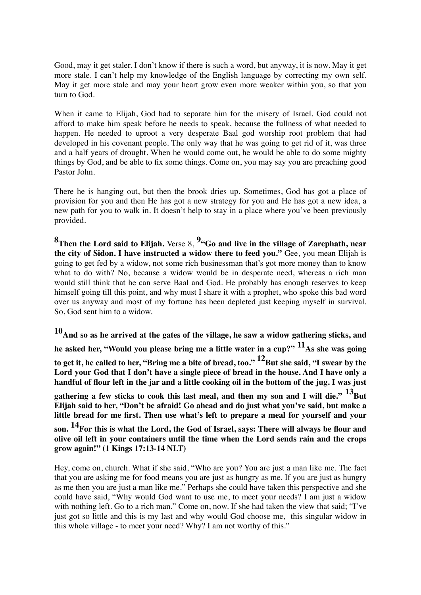Good, may it get staler. I don't know if there is such a word, but anyway, it is now. May it get more stale. I can't help my knowledge of the English language by correcting my own self. May it get more stale and may your heart grow even more weaker within you, so that you turn to God.

When it came to Elijah, God had to separate him for the misery of Israel. God could not afford to make him speak before he needs to speak, because the fullness of what needed to happen. He needed to uproot a very desperate Baal god worship root problem that had developed in his covenant people. The only way that he was going to get rid of it, was three and a half years of drought. When he would come out, he would be able to do some mighty things by God, and be able to fix some things. Come on, you may say you are preaching good Pastor John.

There he is hanging out, but then the brook dries up. Sometimes, God has got a place of provision for you and then He has got a new strategy for you and He has got a new idea, a new path for you to walk in. It doesn't help to stay in a place where you've been previously provided.

**8Then the Lord said to Elijah.** Verse 8, **9"Go and live in the village of Zarephath, near the city of Sidon. I have instructed a widow there to feed you."** Gee, you mean Elijah is going to get fed by a widow, not some rich businessman that's got more money than to know what to do with? No, because a widow would be in desperate need, whereas a rich man would still think that he can serve Baal and God. He probably has enough reserves to keep himself going till this point, and why must I share it with a prophet, who spoke this bad word over us anyway and most of my fortune has been depleted just keeping myself in survival. So, God sent him to a widow.

**10And so as he arrived at the gates of the village, he saw a widow gathering sticks, and he asked her, "Would you please bring me a little water in a cup?" 11As she was going**  to get it, he called to her, "Bring me a bite of bread, too." <sup>12</sup>But she said, "I swear by the **Lord your God that I don't have a single piece of bread in the house. And I have only a handful of flour left in the jar and a little cooking oil in the bottom of the jug. I was just**  gathering a few sticks to cook this last meal, and then my son and I will die." <sup>13</sup>But **Elijah said to her, "Don't be afraid! Go ahead and do just what you've said, but make a little bread for me first. Then use what's left to prepare a meal for yourself and your son. 14For this is what the Lord, the God of Israel, says: There will always be flour and olive oil left in your containers until the time when the Lord sends rain and the crops grow again!" (1 Kings 17:13-14 NLT)**

Hey, come on, church. What if she said, "Who are you? You are just a man like me. The fact that you are asking me for food means you are just as hungry as me. If you are just as hungry as me then you are just a man like me." Perhaps she could have taken this perspective and she could have said, "Why would God want to use me, to meet your needs? I am just a widow with nothing left. Go to a rich man." Come on, now. If she had taken the view that said; "I've just got so little and this is my last and why would God choose me, this singular widow in this whole village - to meet your need? Why? I am not worthy of this."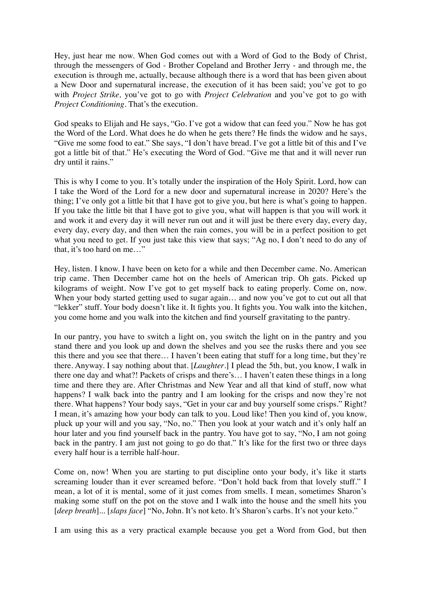Hey, just hear me now. When God comes out with a Word of God to the Body of Christ, through the messengers of God - Brother Copeland and Brother Jerry - and through me, the execution is through me, actually, because although there is a word that has been given about a New Door and supernatural increase, the execution of it has been said; you've got to go with *Project Strike,* you've got to go with *Project Celebration* and you've got to go with *Project Conditioning*. That's the execution.

God speaks to Elijah and He says, "Go. I've got a widow that can feed you." Now he has got the Word of the Lord. What does he do when he gets there? He finds the widow and he says, "Give me some food to eat." She says, "I don't have bread. I've got a little bit of this and I've got a little bit of that." He's executing the Word of God. "Give me that and it will never run dry until it rains."

This is why I come to you. It's totally under the inspiration of the Holy Spirit. Lord, how can I take the Word of the Lord for a new door and supernatural increase in 2020? Here's the thing; I've only got a little bit that I have got to give you, but here is what's going to happen. If you take the little bit that I have got to give you, what will happen is that you will work it and work it and every day it will never run out and it will just be there every day, every day, every day, every day, and then when the rain comes, you will be in a perfect position to get what you need to get. If you just take this view that says; "Ag no, I don't need to do any of that, it's too hard on me…"

Hey, listen. I know. I have been on keto for a while and then December came. No. American trip came. Then December came hot on the heels of American trip. Oh gats. Picked up kilograms of weight. Now I've got to get myself back to eating properly. Come on, now. When your body started getting used to sugar again... and now you've got to cut out all that "lekker" stuff. Your body doesn't like it. It fights you. It fights you. You walk into the kitchen, you come home and you walk into the kitchen and find yourself gravitating to the pantry.

In our pantry, you have to switch a light on, you switch the light on in the pantry and you stand there and you look up and down the shelves and you see the rusks there and you see this there and you see that there… I haven't been eating that stuff for a long time, but they're there. Anyway. I say nothing about that. [*Laughter*.] I plead the 5th, but, you know, I walk in there one day and what?! Packets of crisps and there's… I haven't eaten these things in a long time and there they are. After Christmas and New Year and all that kind of stuff, now what happens? I walk back into the pantry and I am looking for the crisps and now they're not there. What happens? Your body says, "Get in your car and buy yourself some crisps." Right? I mean, it's amazing how your body can talk to you. Loud like! Then you kind of, you know, pluck up your will and you say, "No, no." Then you look at your watch and it's only half an hour later and you find yourself back in the pantry. You have got to say, "No, I am not going back in the pantry. I am just not going to go do that." It's like for the first two or three days every half hour is a terrible half-hour.

Come on, now! When you are starting to put discipline onto your body, it's like it starts screaming louder than it ever screamed before. "Don't hold back from that lovely stuff." I mean, a lot of it is mental, some of it just comes from smells. I mean, sometimes Sharon's making some stuff on the pot on the stove and I walk into the house and the smell hits you [*deep breath*]... [*slaps face*] "No, John. It's not keto. It's Sharon's carbs. It's not your keto."

I am using this as a very practical example because you get a Word from God, but then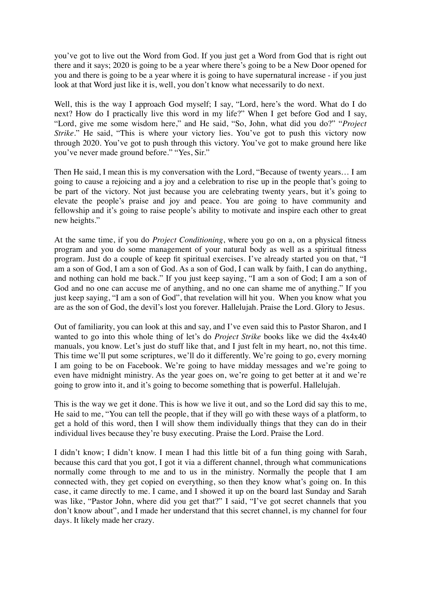you've got to live out the Word from God. If you just get a Word from God that is right out there and it says; 2020 is going to be a year where there's going to be a New Door opened for you and there is going to be a year where it is going to have supernatural increase - if you just look at that Word just like it is, well, you don't know what necessarily to do next.

Well, this is the way I approach God myself; I say, "Lord, here's the word. What do I do next? How do I practically live this word in my life?" When I get before God and I say, "Lord, give me some wisdom here," and He said, "So, John, what did you do?" "*Project Strike*." He said, "This is where your victory lies. You've got to push this victory now through 2020. You've got to push through this victory. You've got to make ground here like you've never made ground before." "Yes, Sir."

Then He said, I mean this is my conversation with the Lord, "Because of twenty years… I am going to cause a rejoicing and a joy and a celebration to rise up in the people that's going to be part of the victory. Not just because you are celebrating twenty years, but it's going to elevate the people's praise and joy and peace. You are going to have community and fellowship and it's going to raise people's ability to motivate and inspire each other to great new heights."

At the same time, if you do *Project Conditioning*, where you go on a, on a physical fitness program and you do some management of your natural body as well as a spiritual fitness program. Just do a couple of keep fit spiritual exercises. I've already started you on that, "I am a son of God, I am a son of God. As a son of God, I can walk by faith, I can do anything, and nothing can hold me back." If you just keep saying, "I am a son of God; I am a son of God and no one can accuse me of anything, and no one can shame me of anything." If you just keep saying, "I am a son of God", that revelation will hit you. When you know what you are as the son of God, the devil's lost you forever. Hallelujah. Praise the Lord. Glory to Jesus.

Out of familiarity, you can look at this and say, and I've even said this to Pastor Sharon, and I wanted to go into this whole thing of let's do *Project Strike* books like we did the 4x4x40 manuals, you know. Let's just do stuff like that, and I just felt in my heart, no, not this time. This time we'll put some scriptures, we'll do it differently. We're going to go, every morning I am going to be on Facebook. We're going to have midday messages and we're going to even have midnight ministry. As the year goes on, we're going to get better at it and we're going to grow into it, and it's going to become something that is powerful. Hallelujah.

This is the way we get it done. This is how we live it out, and so the Lord did say this to me, He said to me, "You can tell the people, that if they will go with these ways of a platform, to get a hold of this word, then I will show them individually things that they can do in their individual lives because they're busy executing. Praise the Lord. Praise the Lord.

I didn't know; I didn't know. I mean I had this little bit of a fun thing going with Sarah, because this card that you got, I got it via a different channel, through what communications normally come through to me and to us in the ministry. Normally the people that I am connected with, they get copied on everything, so then they know what's going on. In this case, it came directly to me. I came, and I showed it up on the board last Sunday and Sarah was like, "Pastor John, where did you get that?" I said, "I've got secret channels that you don't know about", and I made her understand that this secret channel, is my channel for four days. It likely made her crazy.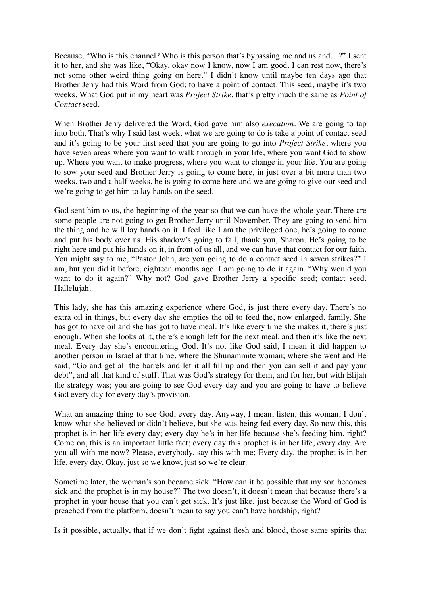Because, "Who is this channel? Who is this person that's bypassing me and us and…?" I sent it to her, and she was like, "Okay, okay now I know, now I am good. I can rest now, there's not some other weird thing going on here." I didn't know until maybe ten days ago that Brother Jerry had this Word from God; to have a point of contact. This seed, maybe it's two weeks. What God put in my heart was *Project Strike*, that's pretty much the same as *Point of Contact* seed.

When Brother Jerry delivered the Word, God gave him also *execution*. We are going to tap into both. That's why I said last week, what we are going to do is take a point of contact seed and it's going to be your first seed that you are going to go into *Project Strike*, where you have seven areas where you want to walk through in your life, where you want God to show up. Where you want to make progress, where you want to change in your life. You are going to sow your seed and Brother Jerry is going to come here, in just over a bit more than two weeks, two and a half weeks, he is going to come here and we are going to give our seed and we're going to get him to lay hands on the seed.

God sent him to us, the beginning of the year so that we can have the whole year. There are some people are not going to get Brother Jerry until November. They are going to send him the thing and he will lay hands on it. I feel like I am the privileged one, he's going to come and put his body over us. His shadow's going to fall, thank you, Sharon. He's going to be right here and put his hands on it, in front of us all, and we can have that contact for our faith. You might say to me, "Pastor John, are you going to do a contact seed in seven strikes?" I am, but you did it before, eighteen months ago. I am going to do it again. "Why would you want to do it again?" Why not? God gave Brother Jerry a specific seed; contact seed. Hallelujah.

This lady, she has this amazing experience where God, is just there every day. There's no extra oil in things, but every day she empties the oil to feed the, now enlarged, family. She has got to have oil and she has got to have meal. It's like every time she makes it, there's just enough. When she looks at it, there's enough left for the next meal, and then it's like the next meal. Every day she's encountering God. It's not like God said, I mean it did happen to another person in Israel at that time, where the Shunammite woman; where she went and He said, "Go and get all the barrels and let it all fill up and then you can sell it and pay your debt", and all that kind of stuff. That was God's strategy for them, and for her, but with Elijah the strategy was; you are going to see God every day and you are going to have to believe God every day for every day's provision.

What an amazing thing to see God, every day. Anyway, I mean, listen, this woman, I don't know what she believed or didn't believe, but she was being fed every day. So now this, this prophet is in her life every day; every day he's in her life because she's feeding him, right? Come on, this is an important little fact; every day this prophet is in her life, every day. Are you all with me now? Please, everybody, say this with me; Every day, the prophet is in her life, every day. Okay, just so we know, just so we're clear.

Sometime later, the woman's son became sick. "How can it be possible that my son becomes sick and the prophet is in my house?" The two doesn't, it doesn't mean that because there's a prophet in your house that you can't get sick. It's just like, just because the Word of God is preached from the platform, doesn't mean to say you can't have hardship, right?

Is it possible, actually, that if we don't fight against flesh and blood, those same spirits that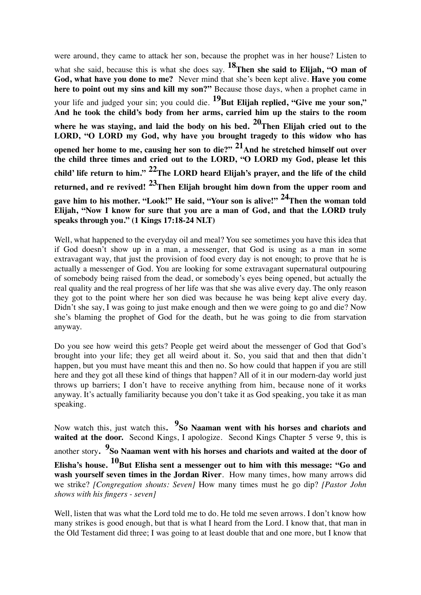were around, they came to attack her son, because the prophet was in her house? Listen to

what she said, because this is what she does say. <sup>18</sup>Then she said to Elijah, "O man of **God, what have you done to me?** Never mind that she's been kept alive. **Have you come here to point out my sins and kill my son?"** Because those days, when a prophet came in your life and judged your sin; you could die. <sup>19</sup>But Elijah replied, "Give me your son," **And he took the child's body from her arms, carried him up the stairs to the room where he was staying, and laid the body on his bed. 20Then Elijah cried out to the LORD, "O LORD my God, why have you brought tragedy to this widow who has opened her home to me, causing her son to die?" 21And he stretched himself out over the child three times and cried out to the LORD, "O LORD my God, please let this child' life return to him." 22The LORD heard Elijah's prayer, and the life of the child returned, and re revived! 23Then Elijah brought him down from the upper room and gave him to his mother. "Look!" He said, "Your son is alive!" 24Then the woman told Elijah, "Now I know for sure that you are a man of God, and that the LORD truly speaks through you." (1 Kings 17:18-24 NLT)**

Well, what happened to the everyday oil and meal? You see sometimes you have this idea that if God doesn't show up in a man, a messenger, that God is using as a man in some extravagant way, that just the provision of food every day is not enough; to prove that he is actually a messenger of God. You are looking for some extravagant supernatural outpouring of somebody being raised from the dead, or somebody's eyes being opened, but actually the real quality and the real progress of her life was that she was alive every day. The only reason they got to the point where her son died was because he was being kept alive every day. Didn't she say, I was going to just make enough and then we were going to go and die? Now she's blaming the prophet of God for the death, but he was going to die from starvation anyway.

Do you see how weird this gets? People get weird about the messenger of God that God's brought into your life; they get all weird about it. So, you said that and then that didn't happen, but you must have meant this and then no. So how could that happen if you are still here and they got all these kind of things that happen? All of it in our modern-day world just throws up barriers; I don't have to receive anything from him, because none of it works anyway. It's actually familiarity because you don't take it as God speaking, you take it as man speaking.

Now watch this, just watch this. <sup>9</sup>So Naaman went with his horses and chariots and waited at the door. Second Kings, I apologize. Second Kings Chapter 5 verse 9, this is another story**. 9So Naaman went with his horses and chariots and waited at the door of**  Elisha's house. <sup>10</sup>But Elisha sent a messenger out to him with this message: "Go and **wash yourself seven times in the Jordan River**. How many times, how many arrows did we strike? *[Congregation shouts: Seven]* How many times must he go dip? *[Pastor John shows with his fingers - seven]*

Well, listen that was what the Lord told me to do. He told me seven arrows. I don't know how many strikes is good enough, but that is what I heard from the Lord. I know that, that man in the Old Testament did three; I was going to at least double that and one more, but I know that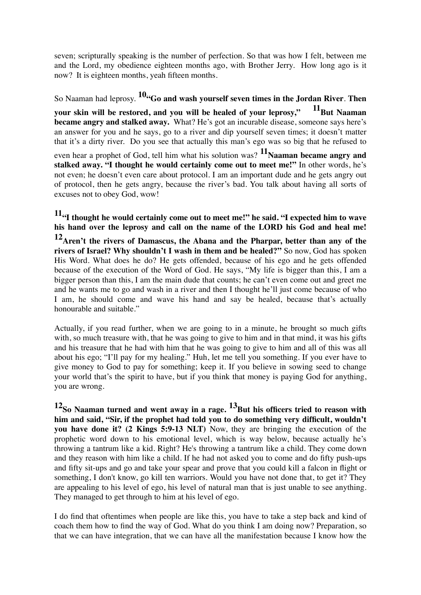seven; scripturally speaking is the number of perfection. So that was how I felt, between me and the Lord, my obedience eighteen months ago, with Brother Jerry. How long ago is it now? It is eighteen months, yeah fifteen months.

So Naaman had leprosy. **10"Go and wash yourself seven times in the Jordan River**. **Then** 

**your skin will be restored, and you will be healed of your leprosy," 11**But Naaman **became angry and stalked away.** What? He's got an incurable disease, someone says here's an answer for you and he says, go to a river and dip yourself seven times; it doesn't matter that it's a dirty river. Do you see that actually this man's ego was so big that he refused to

even hear a prophet of God, tell him what his solution was? <sup>11</sup>Naaman became angry and **stalked away. "I thought he would certainly come out to meet me!"** In other words, he's not even; he doesn't even care about protocol. I am an important dude and he gets angry out of protocol, then he gets angry, because the river's bad. You talk about having all sorts of excuses not to obey God, wow!

**11"I thought he would certainly come out to meet me!" he said. "I expected him to wave his hand over the leprosy and call on the name of the LORD his God and heal me!** 

**12Aren't the rivers of Damascus, the Abana and the Pharpar, better than any of the rivers of Israel? Why shouldn't I wash in them and be healed?"** So now, God has spoken His Word. What does he do? He gets offended, because of his ego and he gets offended because of the execution of the Word of God. He says, "My life is bigger than this, I am a bigger person than this, I am the main dude that counts; he can't even come out and greet me and he wants me to go and wash in a river and then I thought he'll just come because of who I am, he should come and wave his hand and say be healed, because that's actually honourable and suitable."

Actually, if you read further, when we are going to in a minute, he brought so much gifts with, so much treasure with, that he was going to give to him and in that mind, it was his gifts and his treasure that he had with him that he was going to give to him and all of this was all about his ego; "I'll pay for my healing." Huh, let me tell you something. If you ever have to give money to God to pay for something; keep it. If you believe in sowing seed to change your world that's the spirit to have, but if you think that money is paying God for anything, you are wrong.

**12So Naaman turned and went away in a rage. 13But his officers tried to reason with him and said, "Sir, if the prophet had told you to do something very difficult, wouldn't you have done it? (2 Kings 5:9-13 NLT)** Now, they are bringing the execution of the prophetic word down to his emotional level, which is way below, because actually he's throwing a tantrum like a kid. Right? He's throwing a tantrum like a child. They come down and they reason with him like a child. If he had not asked you to come and do fifty push-ups and fifty sit-ups and go and take your spear and prove that you could kill a falcon in flight or something, I don't know, go kill ten warriors. Would you have not done that, to get it? They are appealing to his level of ego, his level of natural man that is just unable to see anything. They managed to get through to him at his level of ego.

I do find that oftentimes when people are like this, you have to take a step back and kind of coach them how to find the way of God. What do you think I am doing now? Preparation, so that we can have integration, that we can have all the manifestation because I know how the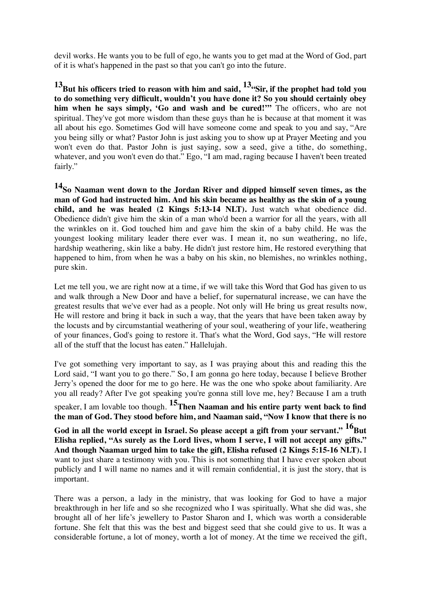devil works. He wants you to be full of ego, he wants you to get mad at the Word of God, part of it is what's happened in the past so that you can't go into the future.

<sup>13</sup>But his officers tried to reason with him and said, <sup>13</sup> Sir, if the prophet had told you **to do something very difficult, wouldn't you have done it? So you should certainly obey him when he says simply, 'Go and wash and be cured!'"** The officers, who are not spiritual. They've got more wisdom than these guys than he is because at that moment it was all about his ego. Sometimes God will have someone come and speak to you and say, "Are you being silly or what? Pastor John is just asking you to show up at Prayer Meeting and you won't even do that. Pastor John is just saying, sow a seed, give a tithe, do something, whatever, and you won't even do that." Ego, "I am mad, raging because I haven't been treated fairly."

**14So Naaman went down to the Jordan River and dipped himself seven times, as the man of God had instructed him. And his skin became as healthy as the skin of a young child, and he was healed (2 Kings 5:13-14 NLT).** Just watch what obedience did. Obedience didn't give him the skin of a man who'd been a warrior for all the years, with all the wrinkles on it. God touched him and gave him the skin of a baby child. He was the youngest looking military leader there ever was. I mean it, no sun weathering, no life, hardship weathering, skin like a baby. He didn't just restore him, He restored everything that happened to him, from when he was a baby on his skin, no blemishes, no wrinkles nothing, pure skin.

Let me tell you, we are right now at a time, if we will take this Word that God has given to us and walk through a New Door and have a belief, for supernatural increase, we can have the greatest results that we've ever had as a people. Not only will He bring us great results now, He will restore and bring it back in such a way, that the years that have been taken away by the locusts and by circumstantial weathering of your soul, weathering of your life, weathering of your finances, God's going to restore it. That's what the Word, God says, "He will restore all of the stuff that the locust has eaten." Hallelujah.

I've got something very important to say, as I was praying about this and reading this the Lord said, "I want you to go there." So, I am gonna go here today, because I believe Brother Jerry's opened the door for me to go here. He was the one who spoke about familiarity. Are you all ready? After I've got speaking you're gonna still love me, hey? Because I am a truth speaker, I am lovable too though. <sup>15</sup>Then Naaman and his entire party went back to find **the man of God. They stood before him, and Naaman said, "Now I know that there is no**  God in all the world except in Israel. So please accept a gift from your servant." <sup>16</sup>But **Elisha replied, "As surely as the Lord lives, whom I serve, I will not accept any gifts." And though Naaman urged him to take the gift, Elisha refused (2 Kings 5:15-16 NLT).** I want to just share a testimony with you. This is not something that I have ever spoken about publicly and I will name no names and it will remain confidential, it is just the story, that is important.

There was a person, a lady in the ministry, that was looking for God to have a major breakthrough in her life and so she recognized who I was spiritually. What she did was, she brought all of her life's jewellery to Pastor Sharon and I, which was worth a considerable fortune. She felt that this was the best and biggest seed that she could give to us. It was a considerable fortune, a lot of money, worth a lot of money. At the time we received the gift,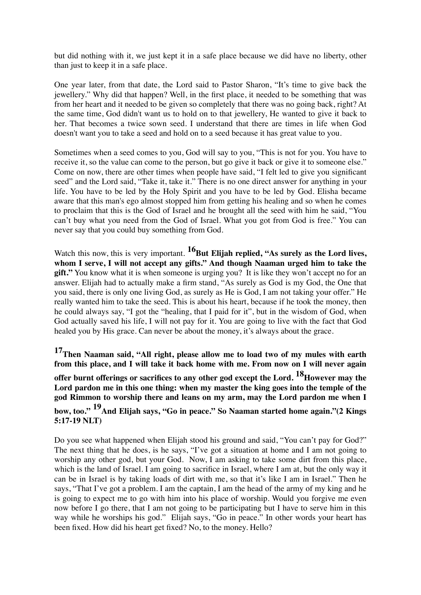but did nothing with it, we just kept it in a safe place because we did have no liberty, other than just to keep it in a safe place.

One year later, from that date, the Lord said to Pastor Sharon, "It's time to give back the jewellery." Why did that happen? Well, in the first place, it needed to be something that was from her heart and it needed to be given so completely that there was no going back, right? At the same time, God didn't want us to hold on to that jewellery, He wanted to give it back to her. That becomes a twice sown seed. I understand that there are times in life when God doesn't want you to take a seed and hold on to a seed because it has great value to you.

Sometimes when a seed comes to you, God will say to you, "This is not for you. You have to receive it, so the value can come to the person, but go give it back or give it to someone else." Come on now, there are other times when people have said, "I felt led to give you significant seed" and the Lord said, "Take it, take it." There is no one direct answer for anything in your life. You have to be led by the Holy Spirit and you have to be led by God. Elisha became aware that this man's ego almost stopped him from getting his healing and so when he comes to proclaim that this is the God of Israel and he brought all the seed with him he said, "You can't buy what you need from the God of Israel. What you got from God is free." You can never say that you could buy something from God.

Watch this now, this is very important. <sup>16</sup>But Elijah replied, "As surely as the Lord lives, **whom I serve, I will not accept any gifts." And though Naaman urged him to take the gift."** You know what it is when someone is urging you? It is like they won't accept no for an answer. Elijah had to actually make a firm stand, "As surely as God is my God, the One that you said, there is only one living God, as surely as He is God, I am not taking your offer." He really wanted him to take the seed. This is about his heart, because if he took the money, then he could always say, "I got the "healing, that I paid for it", but in the wisdom of God, when God actually saved his life, I will not pay for it. You are going to live with the fact that God healed you by His grace. Can never be about the money, it's always about the grace.

**17Then Naaman said, "All right, please allow me to load two of my mules with earth from this place, and I will take it back home with me. From now on I will never again** 

offer burnt offerings or sacrifices to any other god except the Lord. <sup>18</sup>However may the **Lord pardon me in this one thing: when my master the king goes into the temple of the god Rimmon to worship there and leans on my arm, may the Lord pardon me when I** 

**bow, too." 19And Elijah says, "Go in peace." So Naaman started home again."(2 Kings 5:17-19 NLT)** 

Do you see what happened when Elijah stood his ground and said, "You can't pay for God?" The next thing that he does, is he says, "I've got a situation at home and I am not going to worship any other god, but your God. Now, I am asking to take some dirt from this place, which is the land of Israel. I am going to sacrifice in Israel, where I am at, but the only way it can be in Israel is by taking loads of dirt with me, so that it's like I am in Israel." Then he says, "That I've got a problem. I am the captain, I am the head of the army of my king and he is going to expect me to go with him into his place of worship. Would you forgive me even now before I go there, that I am not going to be participating but I have to serve him in this way while he worships his god." Elijah says, "Go in peace." In other words your heart has been fixed. How did his heart get fixed? No, to the money. Hello?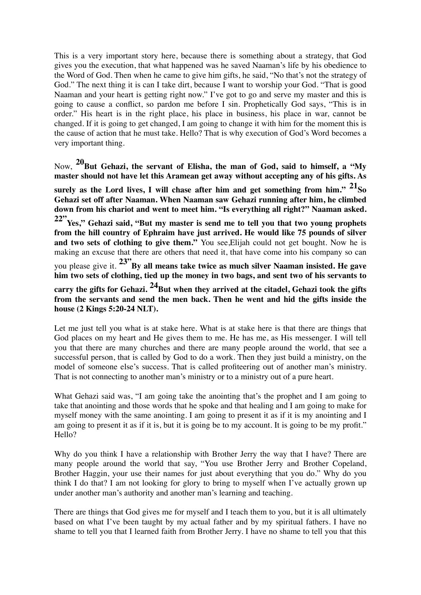This is a very important story here, because there is something about a strategy, that God gives you the execution, that what happened was he saved Naaman's life by his obedience to the Word of God. Then when he came to give him gifts, he said, "No that's not the strategy of God." The next thing it is can I take dirt, because I want to worship your God. "That is good Naaman and your heart is getting right now." I've got to go and serve my master and this is going to cause a conflict, so pardon me before I sin. Prophetically God says, "This is in order." His heart is in the right place, his place in business, his place in war, cannot be changed. If it is going to get changed, I am going to change it with him for the moment this is the cause of action that he must take. Hello? That is why execution of God's Word becomes a very important thing.

Now, **20But Gehazi, the servant of Elisha, the man of God, said to himself, a "My master should not have let this Aramean get away without accepting any of his gifts. As** 

surely as the Lord lives, I will chase after him and get something from him." <sup>21</sup>So **Gehazi set off after Naaman. When Naaman saw Gehazi running after him, he climbed down from his chariot and went to meet him. "Is everything all right?" Naaman asked. 22"Yes," Gehazi said, "But my master is send me to tell you that two young prophets from the hill country of Ephraim have just arrived. He would like 75 pounds of silver**  and two sets of clothing to give them." You see, Elijah could not get bought. Now he is making an excuse that there are others that need it, that have come into his company so can you please give it. **23"By all means take twice as much silver Naaman insisted. He gave him two sets of clothing, tied up the money in two bags, and sent two of his servants to**  carry the gifts for Gehazi. <sup>24</sup>But when they arrived at the citadel, Gehazi took the gifts **from the servants and send the men back. Then he went and hid the gifts inside the house (2 Kings 5:20-24 NLT).**

Let me just tell you what is at stake here. What is at stake here is that there are things that God places on my heart and He gives them to me. He has me, as His messenger. I will tell you that there are many churches and there are many people around the world, that see a successful person, that is called by God to do a work. Then they just build a ministry, on the model of someone else's success. That is called profiteering out of another man's ministry. That is not connecting to another man's ministry or to a ministry out of a pure heart.

What Gehazi said was, "I am going take the anointing that's the prophet and I am going to take that anointing and those words that he spoke and that healing and I am going to make for myself money with the same anointing. I am going to present it as if it is my anointing and I am going to present it as if it is, but it is going be to my account. It is going to be my profit." Hello?

Why do you think I have a relationship with Brother Jerry the way that I have? There are many people around the world that say, "You use Brother Jerry and Brother Copeland, Brother Haggin, your use their names for just about everything that you do." Why do you think I do that? I am not looking for glory to bring to myself when I've actually grown up under another man's authority and another man's learning and teaching.

There are things that God gives me for myself and I teach them to you, but it is all ultimately based on what I've been taught by my actual father and by my spiritual fathers. I have no shame to tell you that I learned faith from Brother Jerry. I have no shame to tell you that this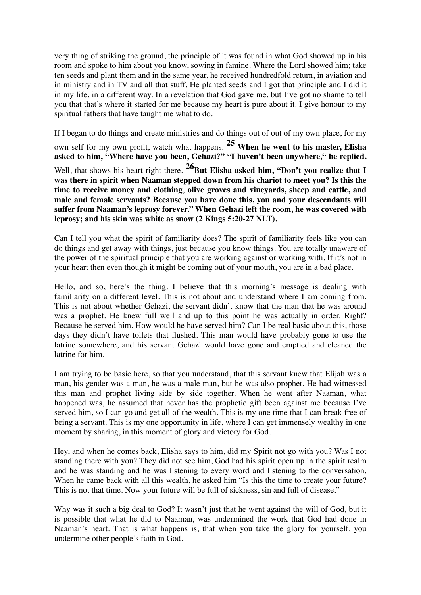very thing of striking the ground, the principle of it was found in what God showed up in his room and spoke to him about you know, sowing in famine. Where the Lord showed him; take ten seeds and plant them and in the same year, he received hundredfold return, in aviation and in ministry and in TV and all that stuff. He planted seeds and I got that principle and I did it in my life, in a different way. In a revelation that God gave me, but I've got no shame to tell you that that's where it started for me because my heart is pure about it. I give honour to my spiritual fathers that have taught me what to do.

If I began to do things and create ministries and do things out of out of my own place, for my own self for my own profit, watch what happens. **25 When he went to his master, Elisha asked to him, "Where have you been, Gehazi?" "I haven't been anywhere," he replied.** Well, that shows his heart right there. <sup>26</sup>But Elisha asked him, "Don't you realize that I **was there in spirit when Naaman stepped down from his chariot to meet you? Is this the time to receive money and clothing**, **olive groves and vineyards, sheep and cattle, and male and female servants? Because you have done this, you and your descendants will suffer from Naaman's leprosy forever." When Gehazi left the room, he was covered with leprosy; and his skin was white as snow (2 Kings 5:20-27 NLT).**

Can I tell you what the spirit of familiarity does? The spirit of familiarity feels like you can do things and get away with things, just because you know things. You are totally unaware of the power of the spiritual principle that you are working against or working with. If it's not in your heart then even though it might be coming out of your mouth, you are in a bad place.

Hello, and so, here's the thing. I believe that this morning's message is dealing with familiarity on a different level. This is not about and understand where I am coming from. This is not about whether Gehazi, the servant didn't know that the man that he was around was a prophet. He knew full well and up to this point he was actually in order. Right? Because he served him. How would he have served him? Can I be real basic about this, those days they didn't have toilets that flushed. This man would have probably gone to use the latrine somewhere, and his servant Gehazi would have gone and emptied and cleaned the latrine for him.

I am trying to be basic here, so that you understand, that this servant knew that Elijah was a man, his gender was a man, he was a male man, but he was also prophet. He had witnessed this man and prophet living side by side together. When he went after Naaman, what happened was, he assumed that never has the prophetic gift been against me because I've served him, so I can go and get all of the wealth. This is my one time that I can break free of being a servant. This is my one opportunity in life, where I can get immensely wealthy in one moment by sharing, in this moment of glory and victory for God.

Hey, and when he comes back, Elisha says to him, did my Spirit not go with you? Was I not standing there with you? They did not see him, God had his spirit open up in the spirit realm and he was standing and he was listening to every word and listening to the conversation. When he came back with all this wealth, he asked him "Is this the time to create your future? This is not that time. Now your future will be full of sickness, sin and full of disease."

Why was it such a big deal to God? It wasn't just that he went against the will of God, but it is possible that what he did to Naaman, was undermined the work that God had done in Naaman's heart. That is what happens is, that when you take the glory for yourself, you undermine other people's faith in God.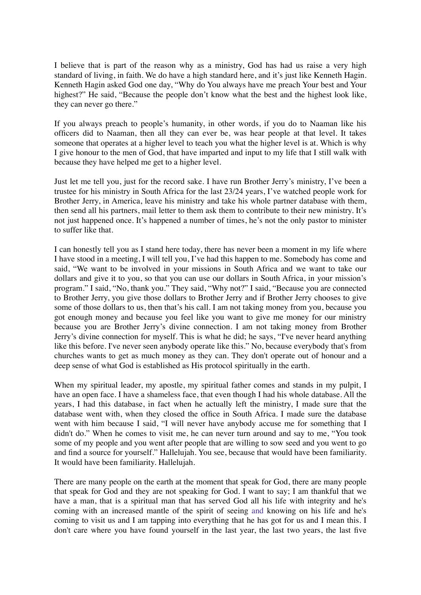I believe that is part of the reason why as a ministry, God has had us raise a very high standard of living, in faith. We do have a high standard here, and it's just like Kenneth Hagin. Kenneth Hagin asked God one day, "Why do You always have me preach Your best and Your highest?" He said, "Because the people don't know what the best and the highest look like, they can never go there."

If you always preach to people's humanity, in other words, if you do to Naaman like his officers did to Naaman, then all they can ever be, was hear people at that level. It takes someone that operates at a higher level to teach you what the higher level is at. Which is why I give honour to the men of God, that have imparted and input to my life that I still walk with because they have helped me get to a higher level.

Just let me tell you, just for the record sake. I have run Brother Jerry's ministry, I've been a trustee for his ministry in South Africa for the last 23/24 years, I've watched people work for Brother Jerry, in America, leave his ministry and take his whole partner database with them, then send all his partners, mail letter to them ask them to contribute to their new ministry. It's not just happened once. It's happened a number of times, he's not the only pastor to minister to suffer like that.

I can honestly tell you as I stand here today, there has never been a moment in my life where I have stood in a meeting, I will tell you, I've had this happen to me. Somebody has come and said, "We want to be involved in your missions in South Africa and we want to take our dollars and give it to you, so that you can use our dollars in South Africa, in your mission's program." I said, "No, thank you." They said, "Why not?" I said, "Because you are connected to Brother Jerry, you give those dollars to Brother Jerry and if Brother Jerry chooses to give some of those dollars to us, then that's his call. I am not taking money from you, because you got enough money and because you feel like you want to give me money for our ministry because you are Brother Jerry's divine connection. I am not taking money from Brother Jerry's divine connection for myself. This is what he did; he says, "I've never heard anything like this before. I've never seen anybody operate like this." No, because everybody that's from churches wants to get as much money as they can. They don't operate out of honour and a deep sense of what God is established as His protocol spiritually in the earth.

When my spiritual leader, my apostle, my spiritual father comes and stands in my pulpit, I have an open face. I have a shameless face, that even though I had his whole database. All the years, I had this database, in fact when he actually left the ministry, I made sure that the database went with, when they closed the office in South Africa. I made sure the database went with him because I said, "I will never have anybody accuse me for something that I didn't do." When he comes to visit me, he can never turn around and say to me, "You took some of my people and you went after people that are willing to sow seed and you went to go and find a source for yourself." Hallelujah. You see, because that would have been familiarity. It would have been familiarity. Hallelujah.

There are many people on the earth at the moment that speak for God, there are many people that speak for God and they are not speaking for God. I want to say; I am thankful that we have a man, that is a spiritual man that has served God all his life with integrity and he's coming with an increased mantle of the spirit of seeing and knowing on his life and he's coming to visit us and I am tapping into everything that he has got for us and I mean this. I don't care where you have found yourself in the last year, the last two years, the last five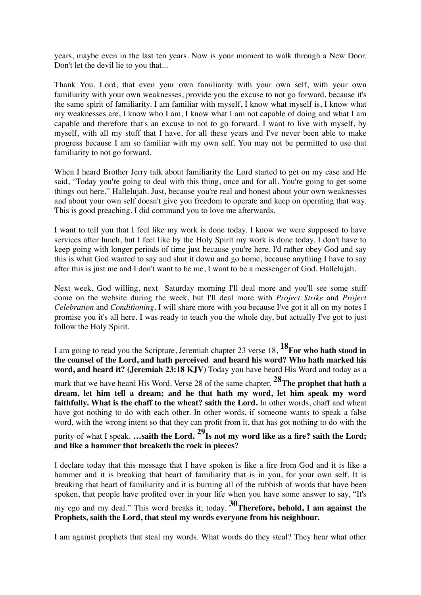years, maybe even in the last ten years. Now is your moment to walk through a New Door. Don't let the devil lie to you that...

Thank You, Lord, that even your own familiarity with your own self, with your own familiarity with your own weaknesses, provide you the excuse to not go forward, because it's the same spirit of familiarity. I am familiar with myself, I know what myself is, I know what my weaknesses are, I know who I am, I know what I am not capable of doing and what I am capable and therefore that's an excuse to not to go forward. I want to live with myself, by myself, with all my stuff that I have, for all these years and I've never been able to make progress because I am so familiar with my own self. You may not be permitted to use that familiarity to not go forward.

When I heard Brother Jerry talk about familiarity the Lord started to get on my case and He said, "Today you're going to deal with this thing, once and for all. You're going to get some things out here." Hallelujah. Just, because you're real and honest about your own weaknesses and about your own self doesn't give you freedom to operate and keep on operating that way. This is good preaching. I did command you to love me afterwards.

I want to tell you that I feel like my work is done today. I know we were supposed to have services after lunch, but I feel like by the Holy Spirit my work is done today. I don't have to keep going with longer periods of time just because you're here. I'd rather obey God and say this is what God wanted to say and shut it down and go home, because anything I have to say after this is just me and I don't want to be me, I want to be a messenger of God. Hallelujah.

Next week, God willing, next Saturday morning I'll deal more and you'll see some stuff come on the website during the week, but I'll deal more with *Project Strike* and *Project Celebration* and *Conditioning*. I will share more with you because I've got it all on my notes I promise you it's all here. I was ready to teach you the whole day, but actually I've got to just follow the Holy Spirit.

I am going to read you the Scripture, Jeremiah chapter 23 verse 18, **18For who hath stood in the counsel of the Lord, and hath perceived and heard his word? Who hath marked his word, and heard it? (Jeremiah 23:18 KJV)** Today you have heard His Word and today as a mark that we have heard His Word. Verse 28 of the same chapter. <sup>28</sup>The prophet that hath a **dream, let him tell a dream; and he that hath my word, let him speak my word faithfully. What is the chaff to the wheat? saith the Lord.** In other words, chaff and wheat have got nothing to do with each other. In other words, if someone wants to speak a false word, with the wrong intent so that they can profit from it, that has got nothing to do with the purity of what I speak. **…saith the Lord. 29Is not my word like as a fire? saith the Lord; and like a hammer that breaketh the rock in pieces?**

I declare today that this message that I have spoken is like a fire from God and it is like a hammer and it is breaking that heart of familiarity that is in you, for your own self. It is breaking that heart of familiarity and it is burning all of the rubbish of words that have been spoken, that people have profited over in your life when you have some answer to say, "It's my ego and my deal." This word breaks it; today. **30Therefore, behold, I am against the Prophets, saith the Lord, that steal my words everyone from his neighbour.**

I am against prophets that steal my words. What words do they steal? They hear what other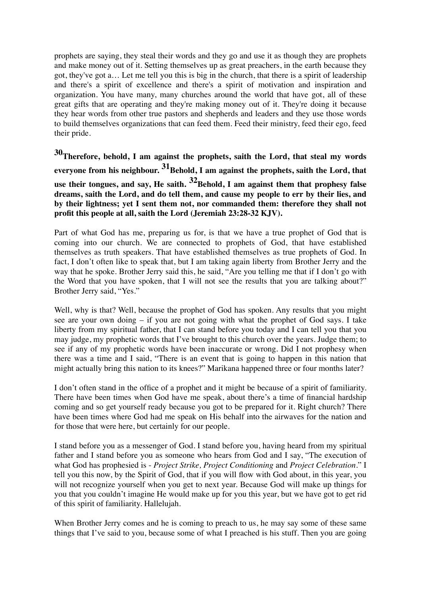prophets are saying, they steal their words and they go and use it as though they are prophets and make money out of it. Setting themselves up as great preachers, in the earth because they got, they've got a… Let me tell you this is big in the church, that there is a spirit of leadership and there's a spirit of excellence and there's a spirit of motivation and inspiration and organization. You have many, many churches around the world that have got, all of these great gifts that are operating and they're making money out of it. They're doing it because they hear words from other true pastors and shepherds and leaders and they use those words to build themselves organizations that can feed them. Feed their ministry, feed their ego, feed their pride.

**30Therefore, behold, I am against the prophets, saith the Lord, that steal my words**  everyone from his neighbour. <sup>31</sup>Behold, I am against the prophets, saith the Lord, that **use their tongues, and say, He saith. 32Behold, I am against them that prophesy false dreams, saith the Lord, and do tell them, and cause my people to err by their lies, and by their lightness; yet I sent them not, nor commanded them: therefore they shall not profit this people at all, saith the Lord (Jeremiah 23:28-32 KJV).**

Part of what God has me, preparing us for, is that we have a true prophet of God that is coming into our church. We are connected to prophets of God, that have established themselves as truth speakers. That have established themselves as true prophets of God. In fact, I don't often like to speak that, but I am taking again liberty from Brother Jerry and the way that he spoke. Brother Jerry said this, he said, "Are you telling me that if I don't go with the Word that you have spoken, that I will not see the results that you are talking about?" Brother Jerry said, "Yes."

Well, why is that? Well, because the prophet of God has spoken. Any results that you might see are your own doing – if you are not going with what the prophet of God says. I take liberty from my spiritual father, that I can stand before you today and I can tell you that you may judge, my prophetic words that I've brought to this church over the years. Judge them; to see if any of my prophetic words have been inaccurate or wrong. Did I not prophesy when there was a time and I said, "There is an event that is going to happen in this nation that might actually bring this nation to its knees?" Marikana happened three or four months later?

I don't often stand in the office of a prophet and it might be because of a spirit of familiarity. There have been times when God have me speak, about there's a time of financial hardship coming and so get yourself ready because you got to be prepared for it. Right church? There have been times where God had me speak on His behalf into the airwaves for the nation and for those that were here, but certainly for our people.

I stand before you as a messenger of God. I stand before you, having heard from my spiritual father and I stand before you as someone who hears from God and I say, "The execution of what God has prophesied is - *Project Strike, Project Conditioning* and *Project Celebration*." I tell you this now, by the Spirit of God, that if you will flow with God about, in this year, you will not recognize yourself when you get to next year. Because God will make up things for you that you couldn't imagine He would make up for you this year, but we have got to get rid of this spirit of familiarity. Hallelujah.

When Brother Jerry comes and he is coming to preach to us, he may say some of these same things that I've said to you, because some of what I preached is his stuff. Then you are going